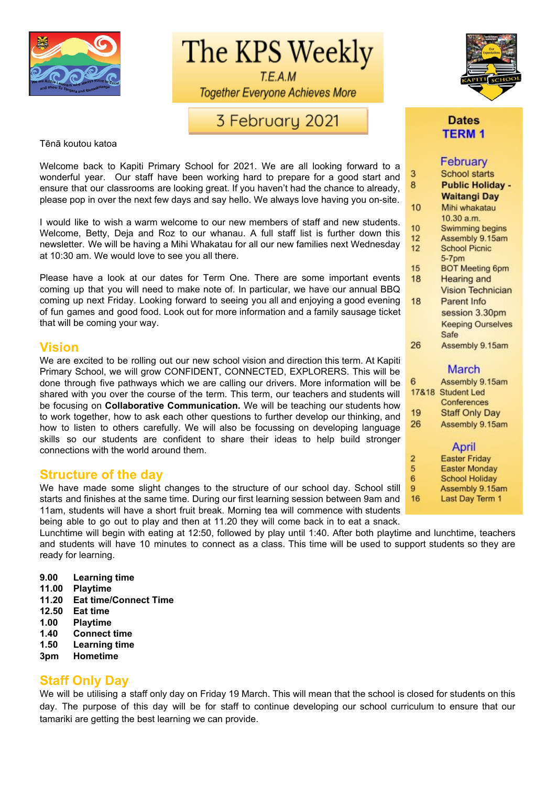

The KPS Weekly

T.E.A.M **Together Everyone Achieves More** 

# 3 February 2021

Tēnā koutou katoa

Welcome back to Kapiti Primary School for 2021. We are all looking forward to a wonderful year. Our staff have been working hard to prepare for a good start and ensure that our classrooms are looking great. If you haven't had the chance to already, please pop in over the next few days and say hello. We always love having you on-site.

I would like to wish a warm welcome to our new members of staff and new students. Welcome, Betty, Deja and Roz to our whanau. A full staff list is further down this newsletter. We will be having a Mihi Whakatau for all our new families next Wednesday at 10:30 am. We would love to see you all there.

Please have a look at our dates for Term One. There are some important events coming up that you will need to make note of. In particular, we have our annual BBQ coming up next Friday. Looking forward to seeing you all and enjoying a good evening of fun games and good food. Look out for more information and a family sausage ticket that will be coming your way.

## **Vision**

We are excited to be rolling out our new school vision and direction this term. At Kapiti Primary School, we will grow CONFIDENT, CONNECTED, EXPLORERS. This will be done through five pathways which we are calling our drivers. More information will be shared with you over the course of the term. This term, our teachers and students will be focusing on **Collaborative Communication.** We will be teaching our students how to work together, how to ask each other questions to further develop our thinking, and how to listen to others carefully. We will also be focussing on developing language skills so our students are confident to share their ideas to help build stronger connections with the world around them.

# **Structure of the day**

We have made some slight changes to the structure of our school day. School still starts and finishes at the same time. During our first learning session between 9am and 11am, students will have a short fruit break. Morning tea will commence with students being able to go out to play and then at 11.20 they will come back in to eat a snack.

Lunchtime will begin with eating at 12:50, followed by play until 1:40. After both playtime and lunchtime, teachers and students will have 10 minutes to connect as a class. This time will be used to support students so they are ready for learning.

- **9.00 Learning time**
- **11.00 Playtime**
- **11.20 Eat time/Connect Time**
- **12.50 Eat time**
- **1.00 Playtime**
- **1.40 Connect time**
- **1.50 Learning time**
- **3pm Hometime**

## **Staff Only Day**

We will be utilising a staff only day on Friday 19 March. This will mean that the school is closed for students on this day. The purpose of this day will be for staff to continue developing our school curriculum to ensure that our tamariki are getting the best learning we can provide.



## **Dates TERM1**

# February

| 3  | School starts            |
|----|--------------------------|
| 8  | <b>Public Holiday -</b>  |
|    | Waitangi Day             |
| 10 | Mihi whakatau            |
|    | 10.30 a.m.               |
| 10 | Swimming begins          |
| 12 | Assembly 9.15am          |
| 12 | <b>School Picnic</b>     |
|    | 5-7pm                    |
| 15 | <b>BOT Meeting 6pm</b>   |
| 18 | Hearing and              |
|    | <b>Vision Technician</b> |
| 18 | Parent Info              |
|    | session 3.30pm           |
|    | <b>Keeping Ourselves</b> |
|    | Safe                     |
| 26 | Assembly 9.15am          |
|    | March                    |

#### 6 Assembly 9.15am 17&18 Student Led Conferences 19 **Staff Only Day** 26 Assembly 9.15am

#### April

- **Easter Friday**
- 5 **Easter Monday**

 $\overline{2}$ 

- 6 School Holiday  $9$
- Assembly 9.15am 16 Last Day Term 1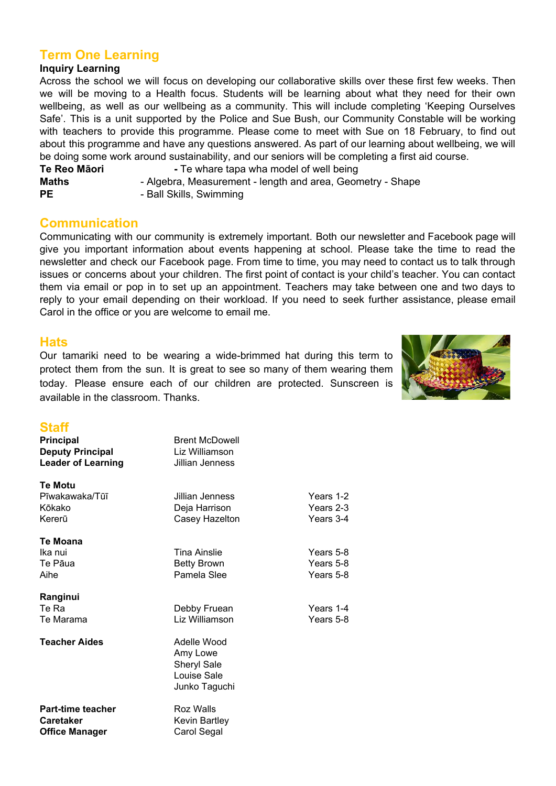# **Term One Learning**

### **Inquiry Learning**

Across the school we will focus on developing our collaborative skills over these first few weeks. Then we will be moving to a Health focus. Students will be learning about what they need for their own wellbeing, as well as our wellbeing as a community. This will include completing 'Keeping Ourselves Safe'. This is a unit supported by the Police and Sue Bush, our Community Constable will be working with teachers to provide this programme. Please come to meet with Sue on 18 February, to find out about this programme and have any questions answered. As part of our learning about wellbeing, we will be doing some work around sustainability, and our seniors will be completing a first aid course.

**Te Reo Māori -** Te whare tapa wha model of well being **Maths** - Algebra, Measurement - length and area, Geometry - Shape **PE** - Ball Skills, Swimming

## **Communication**

Communicating with our community is extremely important. Both our newsletter and Facebook page will give you important information about events happening at school. Please take the time to read the newsletter and check our Facebook page. From time to time, you may need to contact us to talk through issues or concerns about your children. The first point of contact is your child's teacher. You can contact them via email or pop in to set up an appointment. Teachers may take between one and two days to reply to your email depending on their workload. If you need to seek further assistance, please email Carol in the office or you are welcome to email me.

### **Hats**

Our tamariki need to be wearing a wide-brimmed hat during this term to protect them from the sun. It is great to see so many of them wearing them today. Please ensure each of our children are protected. Sunscreen is available in the classroom. Thanks.



## **Staff**

| νιαπ<br><b>Principal</b>  | <b>Brent McDowell</b> |           |
|---------------------------|-----------------------|-----------|
| <b>Deputy Principal</b>   | Liz Williamson        |           |
| <b>Leader of Learning</b> | Jillian Jenness       |           |
|                           |                       |           |
| <b>Te Motu</b>            |                       |           |
| Pīwakawaka/Tūī            | Jillian Jenness       | Years 1-2 |
| Kōkako                    | Deja Harrison         | Years 2-3 |
| Kererū                    | Casey Hazelton        | Years 3-4 |
|                           |                       |           |
| Te Moana                  |                       |           |
| Ika nui                   | <b>Tina Ainslie</b>   | Years 5-8 |
| Te Pāua                   | <b>Betty Brown</b>    | Years 5-8 |
| Aihe                      | Pamela Slee           | Years 5-8 |
| Ranginui                  |                       |           |
| Te Ra                     | Debby Fruean          | Years 1-4 |
| Te Marama                 | Liz Williamson        | Years 5-8 |
| <b>Teacher Aides</b>      | Adelle Wood           |           |
|                           | Amy Lowe              |           |
|                           | <b>Sheryl Sale</b>    |           |
|                           | Louise Sale           |           |
|                           | Junko Taguchi         |           |
| Part-time teacher         | Roz Walls             |           |
| <b>Caretaker</b>          | Kevin Bartley         |           |
| <b>Office Manager</b>     | Carol Segal           |           |
|                           |                       |           |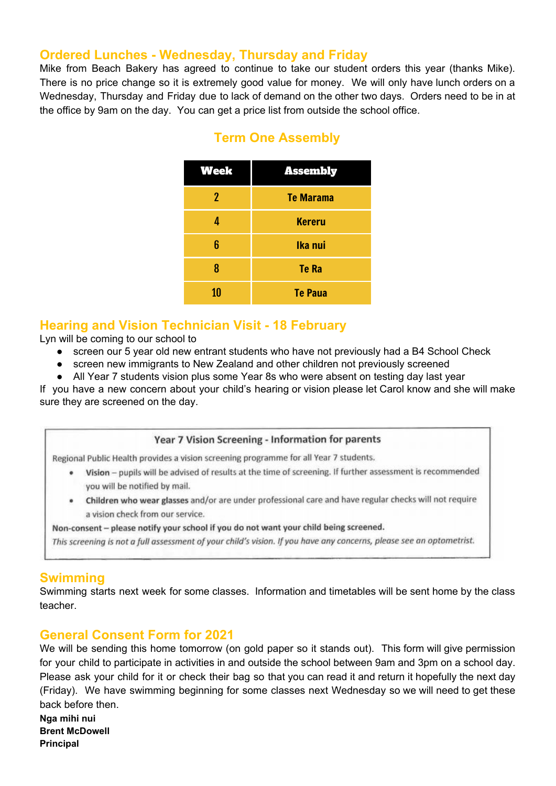# **Ordered Lunches - Wednesday, Thursday and Friday**

Mike from Beach Bakery has agreed to continue to take our student orders this year (thanks Mike). There is no price change so it is extremely good value for money. We will only have lunch orders on a Wednesday, Thursday and Friday due to lack of demand on the other two days. Orders need to be in at the office by 9am on the day. You can get a price list from outside the school office.

| <b>Week</b> | <b>Assembly</b>  |
|-------------|------------------|
| 2           | <b>Te Marama</b> |
| 4           | <b>Kereru</b>    |
| 6           | Ika nui          |
| 8           | <b>Te Ra</b>     |
| 10          | <b>Te Paua</b>   |

# **Term One Assembly**

# **Hearing and Vision Technician Visit - 18 February**

Lyn will be coming to our school to

- screen our 5 year old new entrant students who have not previously had a B4 School Check
- screen new immigrants to New Zealand and other children not previously screened
- All Year 7 students vision plus some Year 8s who were absent on testing day last year

If you have a new concern about your child's hearing or vision please let Carol know and she will make sure they are screened on the day.

### Year 7 Vision Screening - Information for parents

Regional Public Health provides a vision screening programme for all Year 7 students.

- . Vision pupils will be advised of results at the time of screening. If further assessment is recommended you will be notified by mail.
- . Children who wear glasses and/or are under professional care and have regular checks will not require a vision check from our service.

Non-consent - please notify your school if you do not want your child being screened.

This screening is not a full assessment of your child's vision. If you have any concerns, please see an optometrist.

## **Swimming**

Swimming starts next week for some classes. Information and timetables will be sent home by the class teacher.

# **General Consent Form for 2021**

We will be sending this home tomorrow (on gold paper so it stands out). This form will give permission for your child to participate in activities in and outside the school between 9am and 3pm on a school day. Please ask your child for it or check their bag so that you can read it and return it hopefully the next day (Friday). We have swimming beginning for some classes next Wednesday so we will need to get these back before then. **Nga mihi nui**

**Brent McDowell Principal**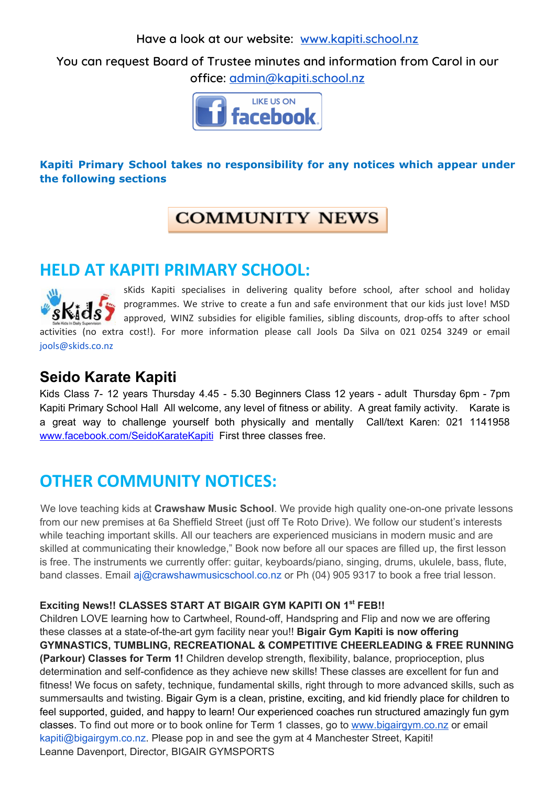**Have a look at our website: [www.kapiti.school.nz](http://www.kapiti.school.nz/)**

**You can request Board of Trustee minutes and information from Carol in our office: [admin@kapiti.school.nz](mailto:admin@kapiti.school.mz)**



# **Kapiti Primary School takes no responsibility for any notices which appear under the following sections**

# **COMMUNITY NEWS**

# **HELD AT KAPITI PRIMARY SCHOOL:**



sKids Kapiti specialises in delivering quality before school, after school and holiday programmes. We strive to create a fun and safe environment that our kids just love! MSD approved, WINZ subsidies for eligible families, sibling discounts, drop-offs to after school activities (no extra cost!). For more information please call Jools Da Silva on 021 0254 3249 or email jools@skids.co.nz

# **Seido Karate Kapiti**

Kids Class 7- 12 years Thursday 4.45 - 5.30 Beginners Class 12 years - adult Thursday 6pm - 7pm Kapiti Primary School Hall All welcome, any level of fitness or ability. A great family activity. Karate is a great way to challenge yourself both physically and mentally Call/text Karen: 021 1141958 [www.facebook.com/SeidoKarateKapiti](http://www.facebook.com/SeidoKarateKapiti) First three classes free.

# **OTHER COMMUNITY NOTICES:**

We love teaching kids at **Crawshaw Music School**. We provide high quality one-on-one private lessons from our new premises at 6a Sheffield Street (just off Te Roto Drive). We follow our student's interests while teaching important skills. All our teachers are experienced musicians in modern music and are skilled at communicating their knowledge," Book now before all our spaces are filled up, the first lesson is free. The instruments we currently offer: guitar, keyboards/piano, singing, drums, ukulele, bass, flute, band classes. Email aj@crawshawmusicschool.co.nz or Ph (04) 905 9317 to book a free trial lesson.

# **Exciting News!! CLASSES START AT BIGAIR GYM KAPITI ON 1 st FEB!!**

Children LOVE learning how to Cartwheel, Round-off, Handspring and Flip and now we are offering these classes at a state-of-the-art gym facility near you!! **Bigair Gym Kapiti is now offering GYMNASTICS, TUMBLING, RECREATIONAL & COMPETITIVE CHEERLEADING & FREE RUNNING (Parkour) Classes for Term 1!** Children develop strength, flexibility, balance, proprioception, plus determination and self-confidence as they achieve new skills! These classes are excellent for fun and fitness! We focus on safety, technique, fundamental skills, right through to more advanced skills, such as summersaults and twisting. Bigair Gym is a clean, pristine, exciting, and kid friendly place for children to feel supported, guided, and happy to learn! Our experienced coaches run structured amazingly fun gym classes. To find out more or to book online for Term 1 classes, go to [www.bigairgym.co.nz](http://www.bigairgym.co.nz/) or email kapiti@bigairgym.co.nz. Please pop in and see the gym at 4 Manchester Street, Kapiti! Leanne Davenport, Director, BIGAIR GYMSPORTS